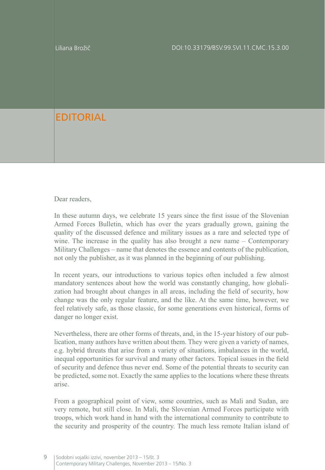Liliana Brožič

## EDITORIAL

Dear readers.

In these autumn days, we celebrate 15 years since the first issue of the Slovenian Armed Forces Bulletin, which has over the years gradually grown, gaining the quality of the discussed defence and military issues as a rare and selected type of wine. The increase in the quality has also brought a new name – Contemporary Military Challenges – name that denotes the essence and contents of the publication, not only the publisher, as it was planned in the beginning of our publishing.

In recent years, our introductions to various topics often included a few almost mandatory sentences about how the world was constantly changing, how globalization had brought about changes in all areas, including the field of security, how change was the only regular feature, and the like. At the same time, however, we feel relatively safe, as those classic, for some generations even historical, forms of danger no longer exist.

Nevertheless, there are other forms of threats, and, in the 15-year history of our publication, many authors have written about them. They were given a variety of names, e.g. hybrid threats that arise from a variety of situations, imbalances in the world, inequal opportunities for survival and many other factors. Topical issues in the field of security and defence thus never end. Some of the potential threats to security can be predicted, some not. Exactly the same applies to the locations where these threats arise.

From a geographical point of view, some countries, such as Mali and Sudan, are very remote, but still close. In Mali, the Slovenian Armed Forces participate with troops, which work hand in hand with the international community to contribute to the security and prosperity of the country. The much less remote Italian island of